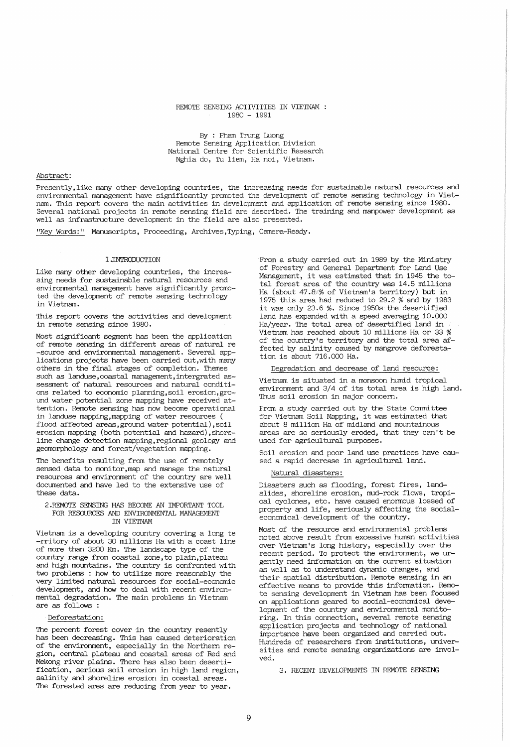#### REMOTE SENSING ACTIVITIES IN VIETNAM 1980 - 1991

By : Pham Trung Luong Remote Sensing Application Division National Centre for Scientific Research Nghia do, Tu liem, Ha noi, Vietnam.

# Abstract:

Presently,like many other developing countries, the increasing needs for sustainable natural resources and environmental management have significantly promoted the development of remote sensing technology in Vietnam. This report covers the main activities in development and application of remote sensing since 1980. Several national projects in remote sensing field are described. The training and manpower development as well as infrastructure development in the field are also presented.

"Key Words:" Manuscripts, Proceeding, Archives, Typing, Camera-Ready.

#### 1.INTRODUCTION

Like many other developing countries, the increasing needs for sustainable natural resources and environmental management have significantly promoted the development of remote sensing technology in Vietnam.

This report covers the activities and development in remote sensing since 1980.

Most significant segment has been the application of remote sensing in different areas of natural re -source and environmental management. Several applications projects have been carried out,with many others in the final stages of completion. Themes such as landuse, coastal management, intergrated as-<br>sessment of natural resources and natural conditions related to economic planning, soil erosion, ground water potential zone mapping have received attention. Remote sensing has now become operational in landuse mapping,mapping of water resources ( flood affected areas, ground water potential), soil erosion mapping (both potential and hazard), shoreline change detection mapping,regional geology and geomorphology and forest/vegetation mapping.

The benefits resulting from the use of remotely sensed data to monitor,map and manage the natural resources and environment of the country are well documented and have led to the extensive use of these data.

#### 2.REMOTE SENSING HAS BECOME AN IMPORTANT TOOL FOR RESOURCES AND ENVIRONMENTAL MANAGEMENT IN VIETNAM

Vietnam is a developing country covering a long te -rritory of about 30 millions Ha with a coast line of more than 3200 Km. The landscape type of the country range from coastal zone, to plain,plateau and high mountains. The country is confronted with two problems : how to utilize more reasonably the very limited natural resources for social-economic development, and how to deal with recent environmental degradation. The main problems in Vietnam are as follows :

# Deforestation:

The percent forest cover in the country resently has been decreasing. This has caused deterioration of the environment, especially in the Northern re- gion, central plateau and coastal areas of Red and Mekong river plains. There has also been desertification, serious soil erosion in high land region, salinity and shoreline erosion in coastal areas. The forested ares are reducing from year to year.

From a study carried out in 1989 by the Ministry of Forestry and General Department for Land Use Management, it was estimated that in 1945 the total forest area of the country was 14.5 millions Ha (about 47.8% of Vietnam's territory) but in 1975 this area had reduced to 29.2 % and by 1983 it was only 23.6 %. Since 1950s the desertified land has expanded with a speed averaging 10.000 Ha/year. The total area of desertified land in Vietnam has reached about 10 millions Ha or 33 % of the country's territory and the total area affected by salinity caused by mangrove deforestation is about 716.000 Ha.

## Degradation and decrease of land resource:

Vietnam is situated in a monsoon humid tropical environment and 3/4 of its total area is high land. Thus soil erosion in major concern.

From a study carried out by the State Committee for Vietnam Soil Mapping, it was estimated that about 8 million Ha of midland and mountainous areas are so seriously eroded, that they can't be used for agricultural purposes.

Soil erosion and poor land use practices have caused a rapid decrease in agricultural land.

### Natural disasters:

Disasters such as flooding, forest fires, landslides, shoreline erosion, mud-rock flows, tropical cyclones, etc. have caused enormous lossed of property and life, seriously affecting the socialeconomical development of the country.

Most of the resource and environmental problems noted above result from excessive human activities over Vietnam's long history, especially over the recent period. To protect the environment, we urgently need information on the current situation as well as to understand dynamic changes, and their spatial distribution. Remote sensing in an effective means to provide this information. Remote sensing development in Vietnam has been focused on applications geared to social-economical development of the country and environmental monitoring. In this connection, several remote sensing application projects and technology of national importance have been organized and carried out. Hundreds of researchers from institutions, universities and remote sensing organizations are involved.

3. RECENT DEVELOPMENTS IN REMOTE SENSING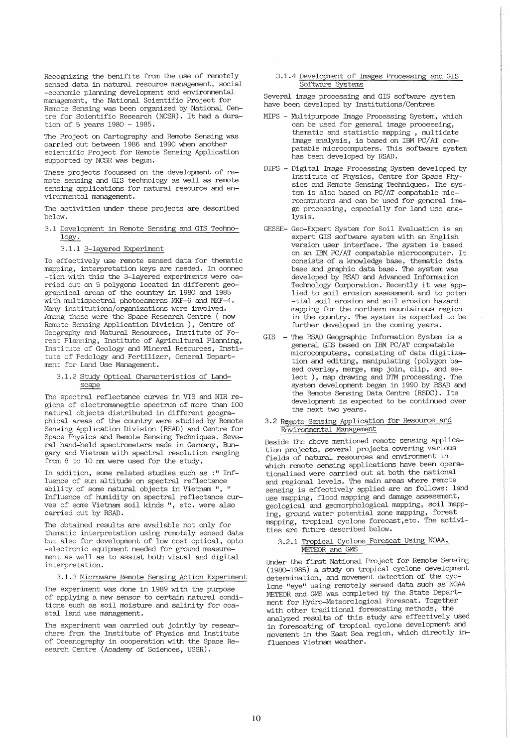Recognizing the benifits from the use of remotely sensed data in natural resource management, social -economic planning development and environmental management, the National Scientific Project for Remote Sensing was been organized by National Centre for Scientific Research (NCSR). It had a duration of 5 years 1980 - 1985.

The Project on Cartography and Remote Sensing was carried out between 1986 and 1990 when another scientific Project for Remote Sensing Application supported by NCSR was begun.

These projects focussed on the development of remote sensing and GIS technology as well as remote sensing applications for natural resource and environmental management.

The activities under these projects are described below.

- 3.1 Development in Remote Sensing and GIS Techno- $\overline{\log y}$ .
	- 3.1.1 3-layered Experiment

To effectively use remote sensed data for thematic mapping, interpretation keys are needed. In connec -tion with this the 3-layered experiments were carried out on 5 polygons located in different geographical areas of the country in 1980 and 1985 with multispectral photocameras MKF-6 and MKF-4. Many institutions/organizations were involved. Among these were the Space Research Centre ( now Remote Sensing Application Division ), Centre of Geography and Natural Resources, Institute of Forest Planning, Institute of Agricultural Planning, Institute of Geology and Mineral Resources, Institute of Pedology and Fertilizer, General Department for Land Use Management.

3.1.2 Study Optical Characteristics of Landscape

The spectral reflectance curves in VIS and NIR regions of electromanegtic spectrum of more than 100 natural objects distributed in different geographical areas of the country were studied by Remote Sensing Application Division (RSAD) and Centre for Space PhYSics and Remote Sensing Techniques. Several hand-held spectrometers made in Germany, Bungary and Vietnam with spectral resolution ranging from 8 to 10 nm were used for the study.

In addition, some related studies such as :" Influence of sun altitude on spectral reflectance abili ty of some natural objects in Vietnam ", " Influence of humidity on spectral reflectance curves of some Vietnam soil kinds ", etc. were also carried out by RSAD.

The obtained results are available not only for thematic interpretation using remotely sensed data but also for development of low cost optical, opto -electronic equipment needed for ground measurement as well as to assist both visual and digital interpretation.

3.1.3 Microware Remote Sensing Action Experiment

The experiment was done in 1989 with the purpose of applying a new sensor to certain natural conditions such as soil moisture and salinity for coastal land use management.

The experiment was carried out jointly by researchers from the Institute of Physics and Institute of Oceanography in cooperation with the Space Research Centre (Academy of Sciences, USSR).

#### 3.1.4 Development of Images Processing and GIS Software Systems

Several image processing and GIS software system have been developed by Institutions/Centres

- MIPS Multipurpose Image Processing System, which can be used for general image processing, thematic and statistic mapping , multidate image analysis, is based on IBM PC/AT compatable microcomputers. This software system has been developed by RSAD.
- DIPS Digital Image Processing System developed by Institute of PhYSics, Centre for Space Physics and Remote Sensing Techniques. The system is also based on PC/AT compatable microcomputers and can be used for general image processing, especially for land use analysis.
- GESSE- Geo-Expert System for Soil Evaluation is an expert GIS software system with an English version user interface. The system is based on an IBM PC/AT compatable microcomputer. It consists of a knowledge base, thematic data base and graphic data base. The system was developed by RSAD and Advanced Information Technology Corporation. Recently it was applied to soil erosion assessment and to poten -tial soil erosion and soil erosion hazard mapping for the northern mountainous region in the country. The system is expected to be further developed in the coming years.
- GIS The RSAD Geographic Information System is a general GIS based on IBM PC/AT compatable microcomputers, consisting of data digitization and editing, manipulating (polygon based overlay, merge, map join, clip, and select ), map drawing and DTM processing. The system development began in 1990 by RSAD and the Remote Sensing Data Centre (RSDC). Its development is expected to be continued over the next two years.

## 3.2 Remote Sensing Application for Resource and Environmental Management

Beside the above mentioned remote sensing application projects, several projects covering various fields of natural resources and environment in which remote sensing applications have been operationalised were carried out at both the national and regional levels. The main areas where remote sensing is effectively applied are as follows: land use mapping, flood mapping and damage assessment, geological and geomorphological mapping, soil mapping, ground water potential zone mapping, forest mapping, tropical cyclone forecast, etc. The activities are future described below.

### 3.2.1 Tropical Cyclone Forescat Using NOAA, METEOR and GMS

Under the first National Project for Remote Sensing (1980-1985) a study on tropical cyclone development determination, and movement detection of the cyclone "eye" using remotely sensed data such as NOAA METEOR and GMS was completed by the State Department for Hydro-Meteorological Forescat. Together with other traditional forescating methods, the analyzed results of this study are effectively used in forescating of tropical cyclone development and movement in the East Sea region, which directly influences Vietnam weather.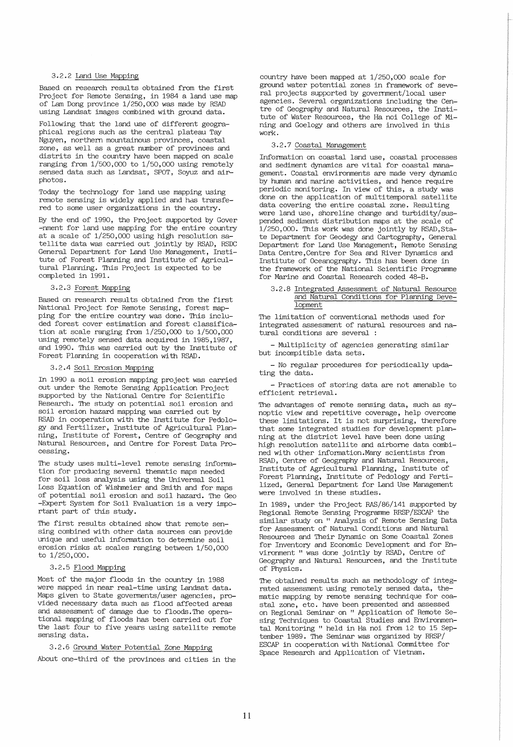# 3.2.2 Land Use Mapping

Based on research results obtained from the first Project for Remote Sensing, in 1984 a land use map of Lam Dong province 1/250,000 was made by RSAD using Landsat images combined with ground data.

Following that the land use of different geographical regions such as the central plateau Tay Nguyen, northern mountainous provinces, coastal zone, as well as a great number of provinces and distrits in the country have been mapped on scale ranging from 1/500,000 to 1/50,000 using remotely sensed data such as Landsat, SPOT, Soyuz and airphotos.

Today the technology for land use mapping using remote sensing is widely applied and has transfered to some user organizations in the country.

By the end of 1990, the Project supported by Gover -nment for land use mapping for the entire country at a scale of 1/250,000 using high resolution satellite data was carried out jointly by RSAD, RSDC General Department for Land Use Management, Institute of Forest Planning and Institute of Agricultural Planning. This Project is expected to be completed in 1991.

# 3.2.3 Forest Mapping

Based on research results obtained from the first National Project for Remote Sensing, forest mapping for the entire country was done. This included forest cover estimation and forest classification at scale ranging from 1/250,000 to 1/500,000 using remotely sensed data acquired in 1985,1987, and 1990. This was carried out by the Institute of Forest Planning in cooperation with RSAD.

# 3.2.4 Soil Erosion Mapping

In 1990 a soil erosion mapping project was carried out under the Remote Sensing Application Project supported by the National Centre for Scientific Research. The study on potential soil erosion and soil erosion hazard mapping was carried out by RSAD in cooperation with the Institute for Pedology and Fertilizer, Institute of Agricultural Planning, Institute of Forest, Centre of Geography and Natural Resources, and Centre for Forest Data Processing.

The study uses multi-level remote sensing information for producing several thematic maps needed for soil loss analysis using the Universal Soil Loss Equation of Wishmeier and Smith and for maps of potential soil erosion and soil hazard. The Geo -Expert System for Soil Evaluation is a very important part of this study.

The first results obtained show that remote sensing combined with other data sources can provide unique and useful information to determine soil erosion risks at scales ranging between 1/50,000 to 1/250,000.

## 3.2.5 Flood Mapping

Most of the major floods in the country in 1988 were mapped in near real-time using Landsat data. Maps given to State goverments/user agencies, provided necessary data such as flood affected areas and assessment of damage due to floods. The operational mapping of floods has been carried out for the last four to five years using satellite remote sensing data.

#### 3.2.6 Ground Water Potential Zone Mapping

About one-third of the provinces and cities in the

country have been mapped at 1/250,000 scale for ground water potential zones in framework of several projects supported by government/local user agencies. Several organizations including the Centre of Geography and Natural Resources, the Institute of Water Resources, the Ha noi College of Mining and Goelogy and others are involved in this work.

## 3.2.7 Coastal Management

Information on coastal land use, coastal processes and sediment dynamics are vital for coastal management. Coastal environments are made very dynamic by human and marine activities, and hence require periodic monitoring. In view of this, a study was done on the application of multitemporal satellite data covering the entire coastal zone. Resulting were land use, shoreline change and turbidity/suspended sediment distribution maps at the scale of  $1/250,000$ . This work was done jointly by RSAD, State Department for Geodegy and Cartography, General Department for Land Use Management, Remote Sensing Data Centre,Centre for Sea and River Dynamics and Institute of Oceanography. This has been done in the framework of the National Scientific Programme for Marine and Coastal Research coded 48-B.

#### 3.2.8 Integrated Assessment of Natural Resource and Natural Conditions for Planning Development

The limitation of conventional methods used for integrated assessment of natural resources and natural conditions are several :

- Multiplicity of agencies generating similar but incompitible data sets.

- No regular procedures for periodically updating the data.

- Practices of storing data are not amenable to efficient retrieval.

The advantages of remote sensing data, such as synoptic view and repetitive coverage, help overcome these limitations. It is not surprising, therefore that some integrated studies for development planning at the district level have been done using high resolution satellite and airborne data combined with other information.Many scientists from RSAD, Centre of Geography and Natural Resources, Institute of Agricultural Planning, Institute of Forest Planning, Institute of Pedology and Fertilized, General Department for Land Use Management were involved in these studies.

In 1989, under the Project RAS/86/141 supported by Regional Remote Sensing Programme RRSP/ESCAP the similar study on " Analysis of Remote Sensing Data for Assessment of Natural Conditions and Natural Resources and Their Dynamic on Some Coastal Zones for Inventory and Economic Development and for Environment " was done jointly by RSAD, Centre of Geography and Natural Resources, and the Institute of Physics.

The obtained results such as methodology of integrated assessment using remotely sensed data, thematic mapping by remote sensing technique for coastal zone, etc. have been presented and assessed on Regional Seminar on " Application of Remote Sesing Techniques to Coastal Studies and Environmental Monitoring " held in Ha noi from 12 to 15 September 1989. The Seminar was organized by RRSP/ ESCAP in cooperation with National Committee for Space Research and Application of Vietnam.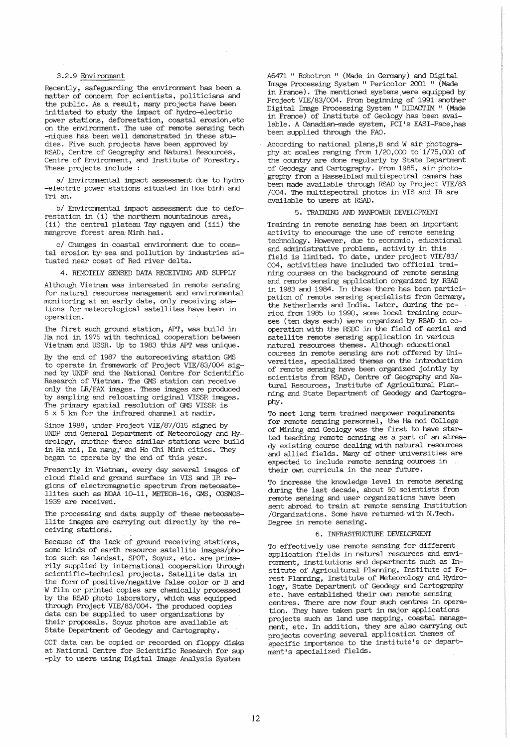# 3.2.9 Environment

Recently, safeguarding the environment has been a matter of concern for scientists, politicians and the public. As a result, many projects have been initiated to stuqy the impact of hydro-electric power stations, deforestation, coastal erosion etc on the environment. The use of remote sensing tech -niques has been well demonstrated in these studies. Five such projects have been approved by RSAD, Centre of Geography and Natural Resources, Centre of Environment, and Institute of Forestry. These projects include :

a/ Environmental impact assessment due to hydro -electric power stations situated in Hoa binh and Tri an.

b/ Environmental impact assessment due to defo-<br>restation in (i) the northern mountainous area, (ii) the central plateau Tay nguyen and (iii) the mangrove forest area Minh hai.

c/ Changes in coastal environment due to coastal erosion by-sea and pollution by industries situated near coast of Red river delta.

4. REMOTELY SENSED DATA RECEIVING AND SUPPLY

Although Vietnam was interested in remote sensing for natural resources management and environmental monitoring at an early date, only receiving stations for meteorological satellites have been in operation.

The first such ground station, APT, was build in Ha noi in 1975 with technical cooperation between Vietnam and USSR. Up to 1983 this APT was unique.

By the end of 1987 the autoreceiving station GMS to operate in framework of Project VIE/83/004 signed by UNDP and the National Centre for Scientific Research of Vietnam. The GMS station can receive only the LR/FAX images. These images are produced by sampling and relocating original VISSR images. The primary spatial resolution of GMS VISSR is 5 x 5 km for the infrared channel at nadir.

Since 1988, under Project vIE/87/015 signed by UNDP and General Department of Meteorology and Hydrology, another three similar stations were build in Ha noi, Da nang; and Ho Chi Minh cities. They began to operate by the end of this. year.

Presently in Vietnam, every day several images of cloud field and ground surface in VIS and IR regions of electromagnetic spectrum from meteosatelli tes such as NOAA 10-11, METEOR-16, GMS, COSMOS-1939 are received.

The processing and data supply of these meteosatellite images are carrying out directly by the re- ceiving stationS.

Because of the lack of ground receiving stations, some kinds of earth resource satellite images/photos such as Landsat, SPOT, Soyuz, etc. are primarily supplied by international cooperation through scientific-technical projects. Satellite data in the form of positive/negative false color or B and W film or printed copies are chemically processed by the RSAD photo laboratory, which was equipped through Project VIE/83/004. The produced copies data can be supplied to user organizations by their proposals. Soyuz photos are available at State Department of Geodegy and Cartography.

CCT data can be copied or recorded on floppy disks at National Centre for Scientific Research for sup -ply to users using Digital Image Analysis System

A6471 " Robotron " (Made in Germany) and Digital Image Processing System " Pericolor 2001 " (Made in France). The mentioned systems. were equipped by Project VIE/83/004. From beginning of 1991 another Digi tal Image Processing System " DIDACTIM " (Made in France) of Institute of Geology has been available. A Canadian-made system, PCI's EASI-Pace,has been supplied through the FAO.

ACCording to national plans,B and W air photography at scales ranging from  $1/20,000$  to  $1/75,000$  of the country are done regularly by State Department of Geodegy and Cartography. From 1985, air photography from a Hasselblad multispectral camera has been made available through RSAD by Project VIE/83 /004. The multispectral photos in VIS and IR are available to users at RSAD.

#### 5. TRAINING AND MANPOWER. DEVELOPMENT

Training in remote sensing has been an important activity to encourage the use of remote sensing technology. However, due to economic, educational and administrative problems, activity in this field is limited. To date, under project VIE/83/ 004, activities have included two official training courses on the background of remote sensing and remote sensing application organized by RSAD in 1983 and 1984. In these there has been participation of remote sensing specialists from Germany, the Netherlands and India. Later, during the period from 1985 to 1990, some local training courses (ten days each) were organized by RSAD in cooperation with the RSDC in the field of aerial and satellite remote sensing application in various natural resources themes. Although educational courses in remote sensing are not offered by Universities, specialized themes on the introduction of remote sensing have been organized jointly by scientists from RSAD, Centre of Geography and Natural Resources, Institute of Agricultural Planning and State Department of Geodegy and Cartography.

To meet long term trained manpower requirements for remote sensing personnel, the Ha noi College of Mining and Geology was the first to have started teaching remote sensing as a part of an already existing course dealing with natural resources and allied fields. Many of other universities are expected to include remote sensing cources in  $\sim$ expected to include remote sensing cources in<br>their own curricula in the near future.

To increase the knowledge level in remote sensing during the last decade, about 50 scientists from remote sensing and user organizations have been sent abroad to train at remote sensing Institution /Organizations. Some have returned· with M.Tech. Degree in remote sensing.

#### 6. INFRASTRUCTURE DEVELOPMENT

To effectively use remote sensing for different application fields in natural resources and environment; institutions and departments such as Institute of Agricultural Planning, Institute of Forest Planning, Institute of Meteorology and Hydrology, State Department of Geodegy. and Cartography etc. have established their own remote sensing centres. There are now four such centres in operation. They have taken part in major applications projects such as land use mapping, coastal management, etc. In addition, they are also carrying out projects covering several application themes of specific importance to the institute's or department's specialized fields.